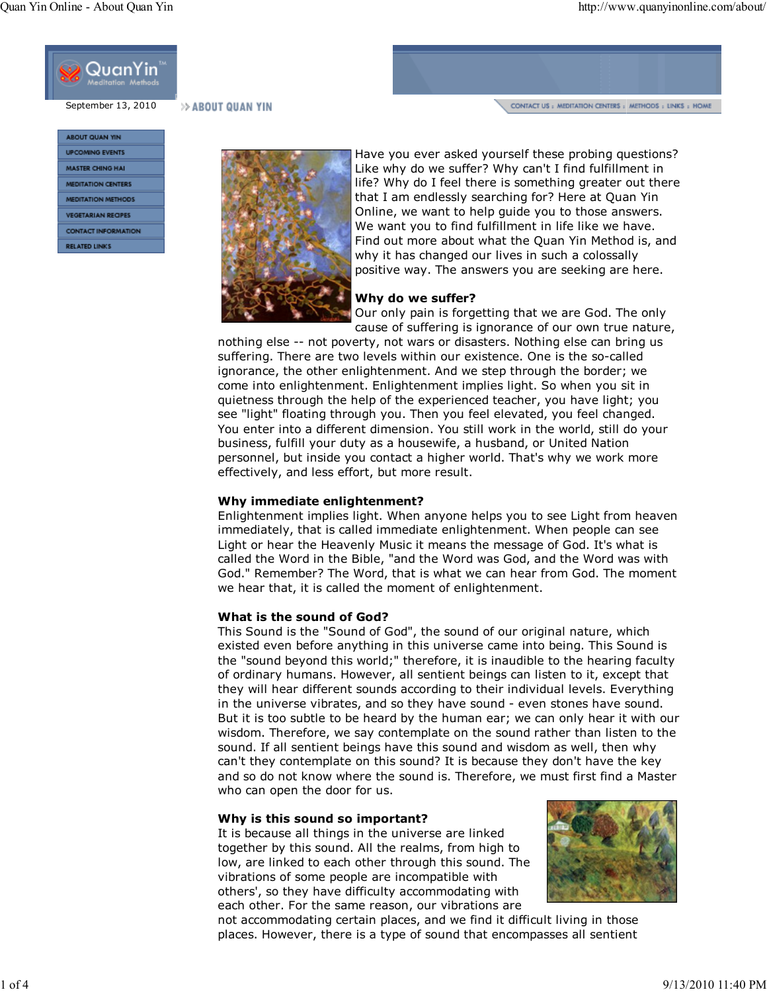

September 13, 2010

>> ABOUT QUAN YIN

CONTACT US : MEDITATION CENTERS : METHODS : LINKS : HOME

| <b>AROUT QUAN YIN</b>      |
|----------------------------|
| <b>UPCOMING EVENTS</b>     |
| <b>MASTER CHING HAI</b>    |
| <b>MEDITATION CENTERS</b>  |
| <b>MEDITATION METHODS</b>  |
| <b>VEGETARIAN RECIPES</b>  |
| <b>CONTACT INFORMATION</b> |
| <b>RELATED LINKS</b>       |
|                            |



Have you ever asked yourself these probing questions? Like why do we suffer? Why can't I find fulfillment in life? Why do I feel there is something greater out there that I am endlessly searching for? Here at Quan Yin Online, we want to help guide you to those answers. We want you to find fulfillment in life like we have. Find out more about what the Quan Yin Method is, and why it has changed our lives in such a colossally positive way. The answers you are seeking are here.

# Why do we suffer?

Our only pain is forgetting that we are God. The only cause of suffering is ignorance of our own true nature,

nothing else -- not poverty, not wars or disasters. Nothing else can bring us suffering. There are two levels within our existence. One is the so-called ignorance, the other enlightenment. And we step through the border; we come into enlightenment. Enlightenment implies light. So when you sit in quietness through the help of the experienced teacher, you have light; you see "light" floating through you. Then you feel elevated, you feel changed. You enter into a different dimension. You still work in the world, still do your business, fulfill your duty as a housewife, a husband, or United Nation personnel, but inside you contact a higher world. That's why we work more effectively, and less effort, but more result.

## Why immediate enlightenment?

Enlightenment implies light. When anyone helps you to see Light from heaven immediately, that is called immediate enlightenment. When people can see Light or hear the Heavenly Music it means the message of God. It's what is called the Word in the Bible, "and the Word was God, and the Word was with God." Remember? The Word, that is what we can hear from God. The moment we hear that, it is called the moment of enlightenment.

# What is the sound of God?

This Sound is the "Sound of God", the sound of our original nature, which existed even before anything in this universe came into being. This Sound is the "sound beyond this world;" therefore, it is inaudible to the hearing faculty of ordinary humans. However, all sentient beings can listen to it, except that they will hear different sounds according to their individual levels. Everything in the universe vibrates, and so they have sound - even stones have sound. But it is too subtle to be heard by the human ear; we can only hear it with our wisdom. Therefore, we say contemplate on the sound rather than listen to the sound. If all sentient beings have this sound and wisdom as well, then why can't they contemplate on this sound? It is because they don't have the key and so do not know where the sound is. Therefore, we must first find a Master who can open the door for us.

## Why is this sound so important?

It is because all things in the universe are linked together by this sound. All the realms, from high to low, are linked to each other through this sound. The vibrations of some people are incompatible with others', so they have difficulty accommodating with each other. For the same reason, our vibrations are



not accommodating certain places, and we find it difficult living in those places. However, there is a type of sound that encompasses all sentient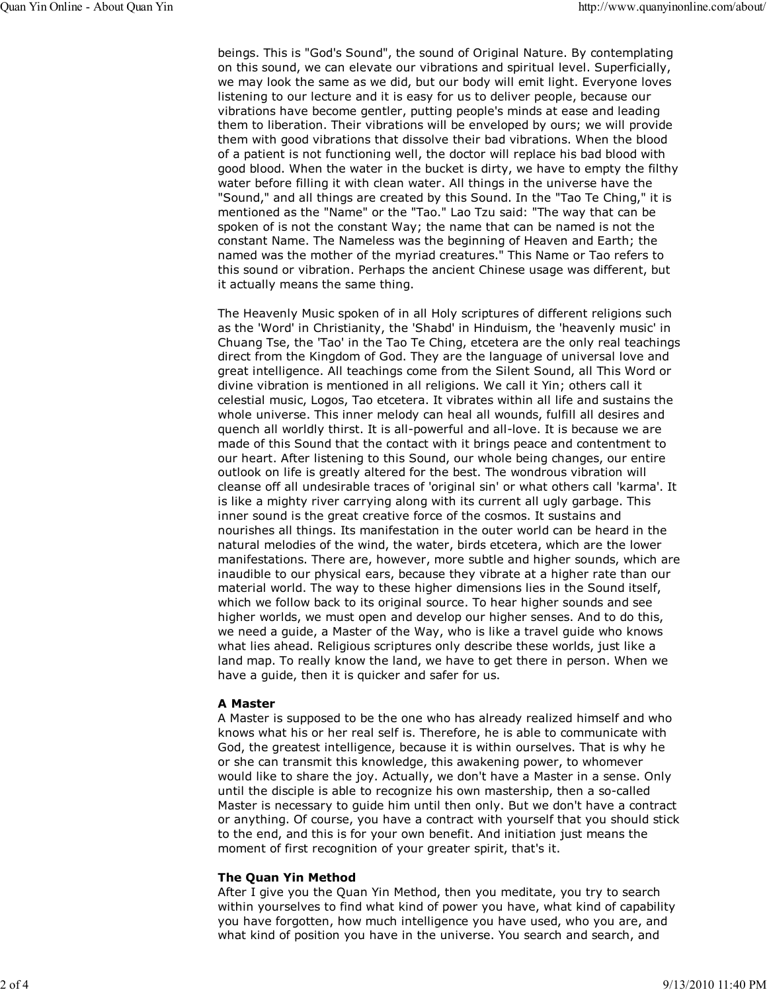beings. This is "God's Sound", the sound of Original Nature. By contemplating on this sound, we can elevate our vibrations and spiritual level. Superficially, we may look the same as we did, but our body will emit light. Everyone loves listening to our lecture and it is easy for us to deliver people, because our vibrations have become gentler, putting people's minds at ease and leading them to liberation. Their vibrations will be enveloped by ours; we will provide them with good vibrations that dissolve their bad vibrations. When the blood of a patient is not functioning well, the doctor will replace his bad blood with good blood. When the water in the bucket is dirty, we have to empty the filthy water before filling it with clean water. All things in the universe have the "Sound," and all things are created by this Sound. In the "Tao Te Ching," it is mentioned as the "Name" or the "Tao." Lao Tzu said: "The way that can be spoken of is not the constant Way; the name that can be named is not the constant Name. The Nameless was the beginning of Heaven and Earth; the named was the mother of the myriad creatures." This Name or Tao refers to this sound or vibration. Perhaps the ancient Chinese usage was different, but it actually means the same thing.

The Heavenly Music spoken of in all Holy scriptures of different religions such as the 'Word' in Christianity, the 'Shabd' in Hinduism, the 'heavenly music' in Chuang Tse, the 'Tao' in the Tao Te Ching, etcetera are the only real teachings direct from the Kingdom of God. They are the language of universal love and great intelligence. All teachings come from the Silent Sound, all This Word or divine vibration is mentioned in all religions. We call it Yin; others call it celestial music, Logos, Tao etcetera. It vibrates within all life and sustains the whole universe. This inner melody can heal all wounds, fulfill all desires and quench all worldly thirst. It is all-powerful and all-love. It is because we are made of this Sound that the contact with it brings peace and contentment to our heart. After listening to this Sound, our whole being changes, our entire outlook on life is greatly altered for the best. The wondrous vibration will cleanse off all undesirable traces of 'original sin' or what others call 'karma'. It is like a mighty river carrying along with its current all ugly garbage. This inner sound is the great creative force of the cosmos. It sustains and nourishes all things. Its manifestation in the outer world can be heard in the natural melodies of the wind, the water, birds etcetera, which are the lower manifestations. There are, however, more subtle and higher sounds, which are inaudible to our physical ears, because they vibrate at a higher rate than our material world. The way to these higher dimensions lies in the Sound itself, which we follow back to its original source. To hear higher sounds and see higher worlds, we must open and develop our higher senses. And to do this, we need a guide, a Master of the Way, who is like a travel guide who knows what lies ahead. Religious scriptures only describe these worlds, just like a land map. To really know the land, we have to get there in person. When we have a guide, then it is quicker and safer for us.

#### A Master

A Master is supposed to be the one who has already realized himself and who knows what his or her real self is. Therefore, he is able to communicate with God, the greatest intelligence, because it is within ourselves. That is why he or she can transmit this knowledge, this awakening power, to whomever would like to share the joy. Actually, we don't have a Master in a sense. Only until the disciple is able to recognize his own mastership, then a so-called Master is necessary to guide him until then only. But we don't have a contract or anything. Of course, you have a contract with yourself that you should stick to the end, and this is for your own benefit. And initiation just means the moment of first recognition of your greater spirit, that's it.

#### The Quan Yin Method

After I give you the Quan Yin Method, then you meditate, you try to search within yourselves to find what kind of power you have, what kind of capability you have forgotten, how much intelligence you have used, who you are, and what kind of position you have in the universe. You search and search, and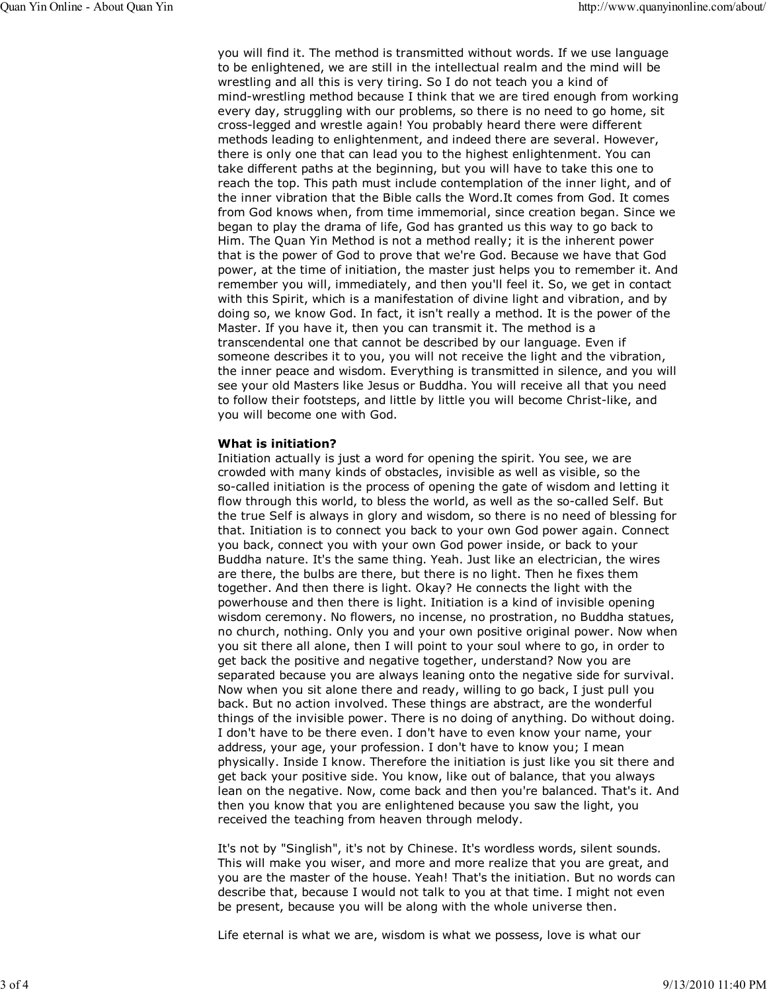you will find it. The method is transmitted without words. If we use language to be enlightened, we are still in the intellectual realm and the mind will be wrestling and all this is very tiring. So I do not teach you a kind of mind-wrestling method because I think that we are tired enough from working every day, struggling with our problems, so there is no need to go home, sit cross-legged and wrestle again! You probably heard there were different methods leading to enlightenment, and indeed there are several. However, there is only one that can lead you to the highest enlightenment. You can take different paths at the beginning, but you will have to take this one to reach the top. This path must include contemplation of the inner light, and of the inner vibration that the Bible calls the Word.It comes from God. It comes from God knows when, from time immemorial, since creation began. Since we began to play the drama of life, God has granted us this way to go back to Him. The Quan Yin Method is not a method really; it is the inherent power that is the power of God to prove that we're God. Because we have that God power, at the time of initiation, the master just helps you to remember it. And remember you will, immediately, and then you'll feel it. So, we get in contact with this Spirit, which is a manifestation of divine light and vibration, and by doing so, we know God. In fact, it isn't really a method. It is the power of the Master. If you have it, then you can transmit it. The method is a transcendental one that cannot be described by our language. Even if someone describes it to you, you will not receive the light and the vibration, the inner peace and wisdom. Everything is transmitted in silence, and you will see your old Masters like Jesus or Buddha. You will receive all that you need to follow their footsteps, and little by little you will become Christ-like, and you will become one with God.

#### What is initiation?

Initiation actually is just a word for opening the spirit. You see, we are crowded with many kinds of obstacles, invisible as well as visible, so the so-called initiation is the process of opening the gate of wisdom and letting it flow through this world, to bless the world, as well as the so-called Self. But the true Self is always in glory and wisdom, so there is no need of blessing for that. Initiation is to connect you back to your own God power again. Connect you back, connect you with your own God power inside, or back to your Buddha nature. It's the same thing. Yeah. Just like an electrician, the wires are there, the bulbs are there, but there is no light. Then he fixes them together. And then there is light. Okay? He connects the light with the powerhouse and then there is light. Initiation is a kind of invisible opening wisdom ceremony. No flowers, no incense, no prostration, no Buddha statues, no church, nothing. Only you and your own positive original power. Now when you sit there all alone, then I will point to your soul where to go, in order to get back the positive and negative together, understand? Now you are separated because you are always leaning onto the negative side for survival. Now when you sit alone there and ready, willing to go back, I just pull you back. But no action involved. These things are abstract, are the wonderful things of the invisible power. There is no doing of anything. Do without doing. I don't have to be there even. I don't have to even know your name, your address, your age, your profession. I don't have to know you; I mean physically. Inside I know. Therefore the initiation is just like you sit there and get back your positive side. You know, like out of balance, that you always lean on the negative. Now, come back and then you're balanced. That's it. And then you know that you are enlightened because you saw the light, you received the teaching from heaven through melody.

It's not by "Singlish", it's not by Chinese. It's wordless words, silent sounds. This will make you wiser, and more and more realize that you are great, and you are the master of the house. Yeah! That's the initiation. But no words can describe that, because I would not talk to you at that time. I might not even be present, because you will be along with the whole universe then.

Life eternal is what we are, wisdom is what we possess, love is what our